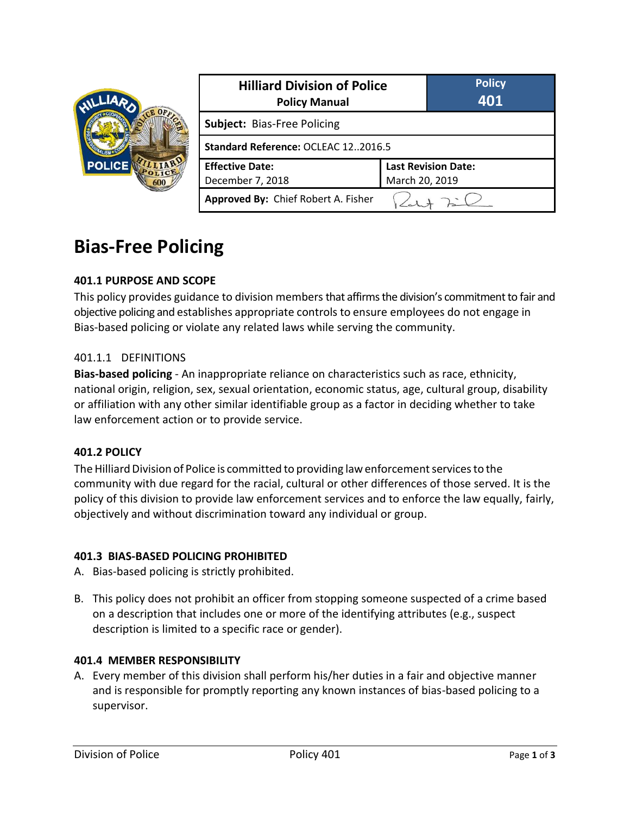

| <b>Hilliard Division of Police</b><br><b>Policy Manual</b> |                            | <b>Policy</b><br>401 |
|------------------------------------------------------------|----------------------------|----------------------|
| Subject: Bias-Free Policing                                |                            |                      |
| Standard Reference: OCLEAC 122016.5                        |                            |                      |
| <b>Effective Date:</b>                                     | <b>Last Revision Date:</b> |                      |
| December 7, 2018                                           | March 20, 2019             |                      |
| Approved By: Chief Robert A. Fisher                        |                            |                      |

# **Bias-Free Policing**

## **401.1 PURPOSE AND SCOPE**

This policy provides guidance to division members that affirms the division's commitment to fair and objective policing and establishes appropriate controls to ensure employees do not engage in Bias-based policing or violate any related laws while serving the community.

#### 401.1.1 DEFINITIONS

**Bias-based policing** - An inappropriate reliance on characteristics such as race, ethnicity, national origin, religion, sex, sexual orientation, economic status, age, cultural group, disability or affiliation with any other similar identifiable group as a factor in deciding whether to take law enforcement action or to provide service.

#### **401.2 POLICY**

The Hilliard Division of Police is committed to providing law enforcement services to the community with due regard for the racial, cultural or other differences of those served. It is the policy of this division to provide law enforcement services and to enforce the law equally, fairly, objectively and without discrimination toward any individual or group.

#### **401.3 BIAS-BASED POLICING PROHIBITED**

- A. Bias-based policing is strictly prohibited.
- B. This policy does not prohibit an officer from stopping someone suspected of a crime based on a description that includes one or more of the identifying attributes (e.g., suspect description is limited to a specific race or gender).

#### **401.4 MEMBER RESPONSIBILITY**

A. Every member of this division shall perform his/her duties in a fair and objective manner and is responsible for promptly reporting any known instances of bias-based policing to a supervisor.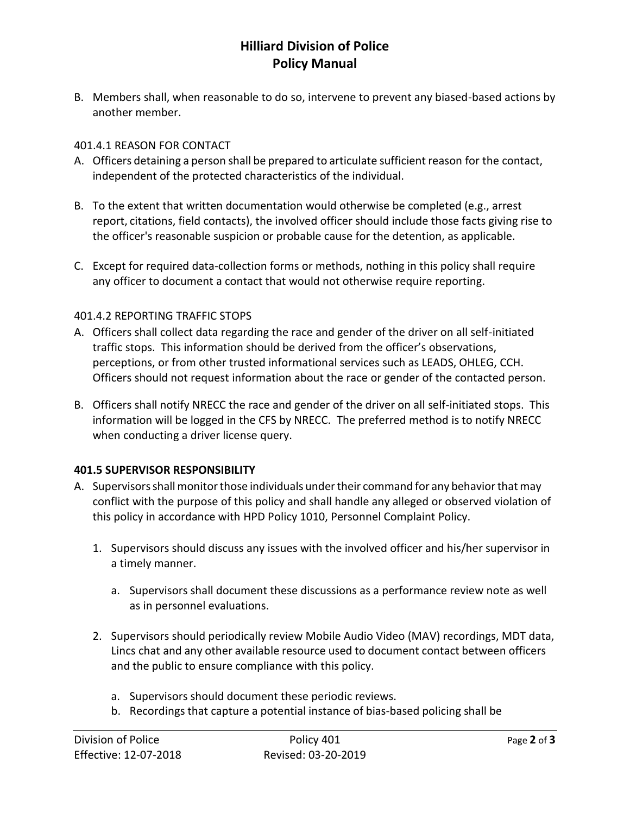# **Hilliard Division of Police Policy Manual**

B. Members shall, when reasonable to do so, intervene to prevent any biased-based actions by another member.

#### 401.4.1 REASON FOR CONTACT

- A. Officers detaining a person shall be prepared to articulate sufficient reason for the contact, independent of the protected characteristics of the individual.
- B. To the extent that written documentation would otherwise be completed (e.g., arrest report, citations, field contacts), the involved officer should include those facts giving rise to the officer's reasonable suspicion or probable cause for the detention, as applicable.
- C. Except for required data-collection forms or methods, nothing in this policy shall require any officer to document a contact that would not otherwise require reporting.

#### 401.4.2 REPORTING TRAFFIC STOPS

- A. Officers shall collect data regarding the race and gender of the driver on all self-initiated traffic stops. This information should be derived from the officer's observations, perceptions, or from other trusted informational services such as LEADS, OHLEG, CCH. Officers should not request information about the race or gender of the contacted person.
- B. Officers shall notify NRECC the race and gender of the driver on all self-initiated stops. This information will be logged in the CFS by NRECC. The preferred method is to notify NRECC when conducting a driver license query.

#### **401.5 SUPERVISOR RESPONSIBILITY**

- A. Supervisorsshallmonitorthose individuals undertheir command for any behaviorthatmay conflict with the purpose of this policy and shall handle any alleged or observed violation of this policy in accordance with HPD Policy 1010, Personnel Complaint Policy.
	- 1. Supervisors should discuss any issues with the involved officer and his/her supervisor in a timely manner.
		- a. Supervisors shall document these discussions as a performance review note as well as in personnel evaluations.
	- 2. Supervisors should periodically review Mobile Audio Video (MAV) recordings, MDT data, Lincs chat and any other available resource used to document contact between officers and the public to ensure compliance with this policy.
		- a. Supervisors should document these periodic reviews.
		- b. Recordings that capture a potential instance of bias-based policing shall be